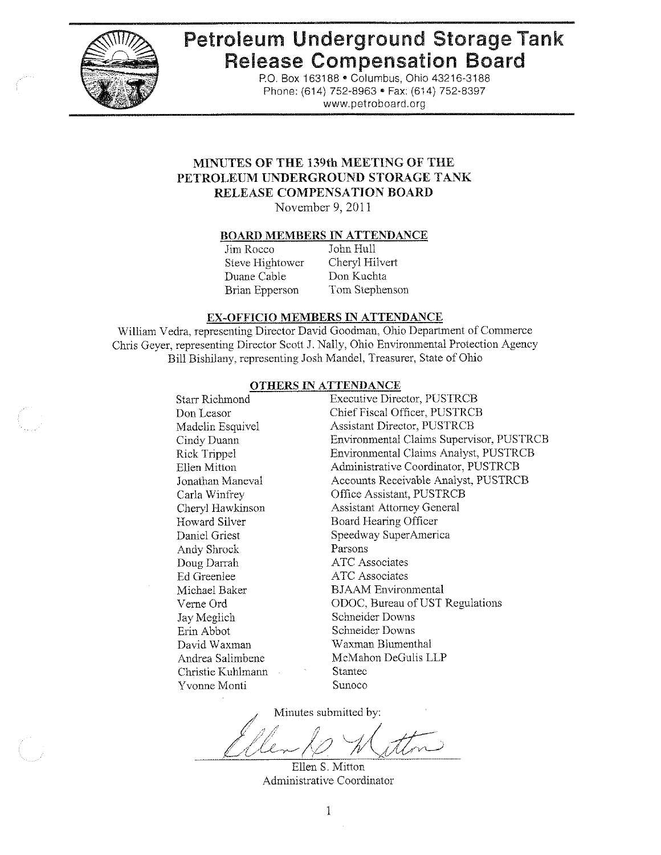

# Petroleum Underground Storage Tank **Release Compensation Board**

P.O. Box 163188 . Columbus, Ohio 43216-3188 Phone: (614) 752-8963 · Fax: (614) 752-8397 www.petroboard.org

# MINUTES OF THE 139th MEETING OF THE PETROLEUM UNDERGROUND STORAGE TANK RELEASE COMPENSATION BOARD

November 9, 2011

#### **BOARD MEMBERS IN ATTENDANCE**

Jim Rocco Steve Hightower Duane Cable **Brian Epperson** 

John Hull Cheryl Hilvert Don Kuchta Tom Stephenson

#### EX-OFFICIO MEMBERS IN ATTENDANCE

William Vedra, representing Director David Goodman, Ohio Department of Commerce Chris Geyer, representing Director Scott J. Nally, Ohio Environmental Protection Agency Bill Bishilany, representing Josh Mandel, Treasurer, State of Ohio

#### **OTHERS IN ATTENDANCE**

| Starr Richmond              | <b>Executive Director, PUSTRCB</b>       |
|-----------------------------|------------------------------------------|
| Don Leasor                  | Chief Fiscal Officer, PUSTRCB            |
| Madelin Esquivel            | <b>Assistant Director, PUSTRCB</b>       |
| Cindy Duann                 | Environmental Claims Supervisor, PUSTRCB |
| Rick Trippel                | Environmental Claims Analyst, PUSTRCB    |
| Ellen Mitton                | Administrative Coordinator, PUSTRCB      |
| Jonathan Maneval            | Accounts Receivable Analyst, PUSTRCB     |
| Carla Winfrey               | Office Assistant, PUSTRCB                |
| Cheryl Hawkinson            | <b>Assistant Attorney General</b>        |
| Howard Silver               | Board Hearing Officer                    |
| Daniel Griest               | Speedway SuperAmerica                    |
| Andy Shrock                 | Parsons                                  |
| Doug Darrah                 | ATC Associates                           |
| Ed Greenlee                 | ATC Associates                           |
| Michael Baker               | <b>BJAAM</b> Environmental               |
| Verne Ord                   | ODOC, Bureau of UST Regulations          |
| Jay Meglich                 | Schneider Downs                          |
| Erin Abbot                  | Schneider Downs                          |
| David Waxman                | Waxman Blumenthal                        |
| Andrea Salimbene            | McMahon DeGulis LLP                      |
| Christie Kuhlmann<br>$\sim$ | Stantec                                  |
| Yvonne Monti                | Sunoco                                   |
|                             |                                          |

Minutes submitted by:

Ellen S. Mitton Administrative Coordinator

 $\mathbf{1}$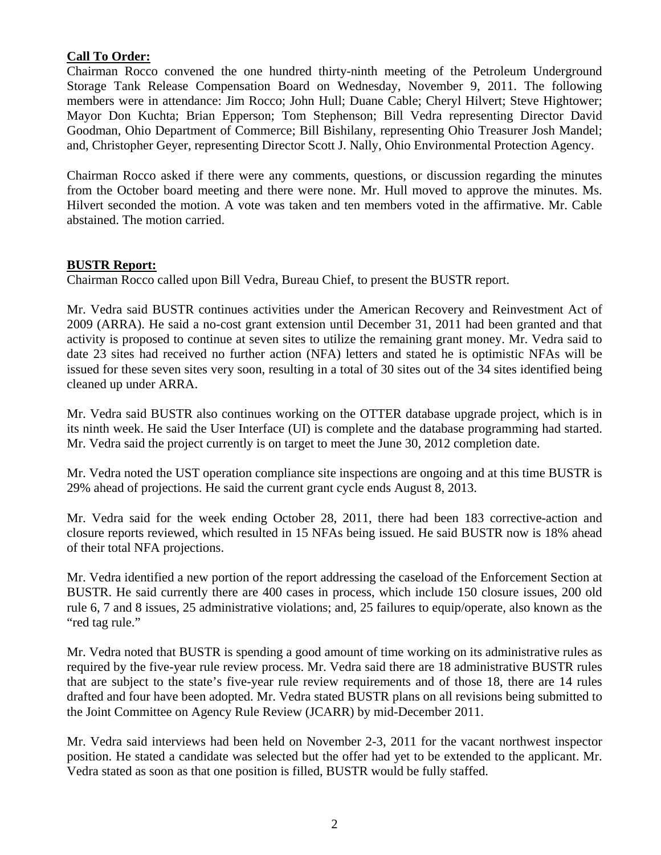# **Call To Order:**

Chairman Rocco convened the one hundred thirty-ninth meeting of the Petroleum Underground Storage Tank Release Compensation Board on Wednesday, November 9, 2011. The following members were in attendance: Jim Rocco; John Hull; Duane Cable; Cheryl Hilvert; Steve Hightower; Mayor Don Kuchta; Brian Epperson; Tom Stephenson; Bill Vedra representing Director David Goodman, Ohio Department of Commerce; Bill Bishilany, representing Ohio Treasurer Josh Mandel; and, Christopher Geyer, representing Director Scott J. Nally, Ohio Environmental Protection Agency.

Chairman Rocco asked if there were any comments, questions, or discussion regarding the minutes from the October board meeting and there were none. Mr. Hull moved to approve the minutes. Ms. Hilvert seconded the motion. A vote was taken and ten members voted in the affirmative. Mr. Cable abstained. The motion carried.

# **BUSTR Report:**

Chairman Rocco called upon Bill Vedra, Bureau Chief, to present the BUSTR report.

Mr. Vedra said BUSTR continues activities under the American Recovery and Reinvestment Act of 2009 (ARRA). He said a no-cost grant extension until December 31, 2011 had been granted and that activity is proposed to continue at seven sites to utilize the remaining grant money. Mr. Vedra said to date 23 sites had received no further action (NFA) letters and stated he is optimistic NFAs will be issued for these seven sites very soon, resulting in a total of 30 sites out of the 34 sites identified being cleaned up under ARRA.

Mr. Vedra said BUSTR also continues working on the OTTER database upgrade project, which is in its ninth week. He said the User Interface (UI) is complete and the database programming had started. Mr. Vedra said the project currently is on target to meet the June 30, 2012 completion date.

Mr. Vedra noted the UST operation compliance site inspections are ongoing and at this time BUSTR is 29% ahead of projections. He said the current grant cycle ends August 8, 2013.

Mr. Vedra said for the week ending October 28, 2011, there had been 183 corrective-action and closure reports reviewed, which resulted in 15 NFAs being issued. He said BUSTR now is 18% ahead of their total NFA projections.

Mr. Vedra identified a new portion of the report addressing the caseload of the Enforcement Section at BUSTR. He said currently there are 400 cases in process, which include 150 closure issues, 200 old rule 6, 7 and 8 issues, 25 administrative violations; and, 25 failures to equip/operate, also known as the "red tag rule."

Mr. Vedra noted that BUSTR is spending a good amount of time working on its administrative rules as required by the five-year rule review process. Mr. Vedra said there are 18 administrative BUSTR rules that are subject to the state's five-year rule review requirements and of those 18, there are 14 rules drafted and four have been adopted. Mr. Vedra stated BUSTR plans on all revisions being submitted to the Joint Committee on Agency Rule Review (JCARR) by mid-December 2011.

Mr. Vedra said interviews had been held on November 2-3, 2011 for the vacant northwest inspector position. He stated a candidate was selected but the offer had yet to be extended to the applicant. Mr. Vedra stated as soon as that one position is filled, BUSTR would be fully staffed.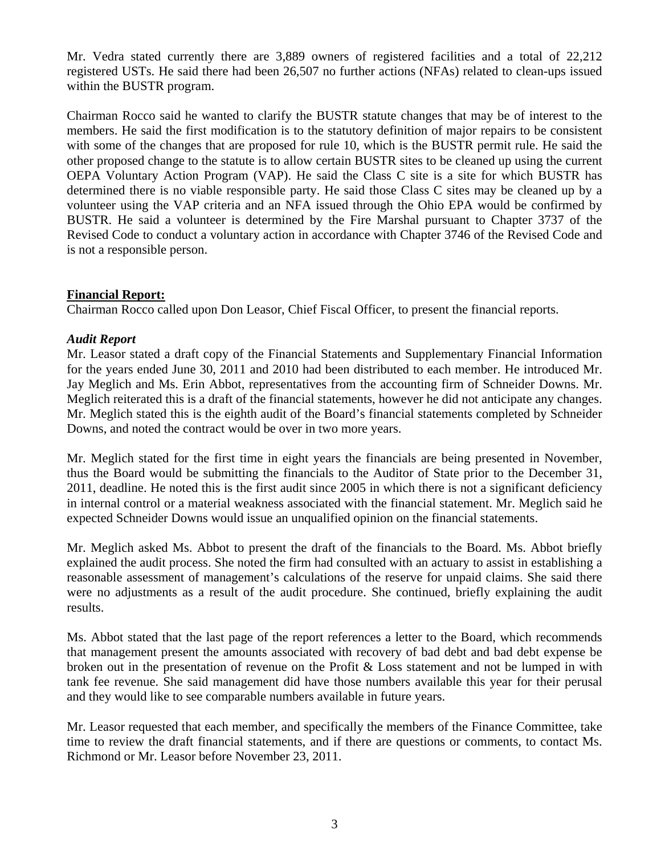Mr. Vedra stated currently there are 3,889 owners of registered facilities and a total of 22,212 registered USTs. He said there had been 26,507 no further actions (NFAs) related to clean-ups issued within the BUSTR program.

Chairman Rocco said he wanted to clarify the BUSTR statute changes that may be of interest to the members. He said the first modification is to the statutory definition of major repairs to be consistent with some of the changes that are proposed for rule 10, which is the BUSTR permit rule. He said the other proposed change to the statute is to allow certain BUSTR sites to be cleaned up using the current OEPA Voluntary Action Program (VAP). He said the Class C site is a site for which BUSTR has determined there is no viable responsible party. He said those Class C sites may be cleaned up by a volunteer using the VAP criteria and an NFA issued through the Ohio EPA would be confirmed by BUSTR. He said a volunteer is determined by the Fire Marshal pursuant to Chapter 3737 of the Revised Code to conduct a voluntary action in accordance with Chapter 3746 of the Revised Code and is not a responsible person.

# **Financial Report:**

Chairman Rocco called upon Don Leasor, Chief Fiscal Officer, to present the financial reports.

## *Audit Report*

Mr. Leasor stated a draft copy of the Financial Statements and Supplementary Financial Information for the years ended June 30, 2011 and 2010 had been distributed to each member. He introduced Mr. Jay Meglich and Ms. Erin Abbot, representatives from the accounting firm of Schneider Downs. Mr. Meglich reiterated this is a draft of the financial statements, however he did not anticipate any changes. Mr. Meglich stated this is the eighth audit of the Board's financial statements completed by Schneider Downs, and noted the contract would be over in two more years.

Mr. Meglich stated for the first time in eight years the financials are being presented in November, thus the Board would be submitting the financials to the Auditor of State prior to the December 31, 2011, deadline. He noted this is the first audit since 2005 in which there is not a significant deficiency in internal control or a material weakness associated with the financial statement. Mr. Meglich said he expected Schneider Downs would issue an unqualified opinion on the financial statements.

Mr. Meglich asked Ms. Abbot to present the draft of the financials to the Board. Ms. Abbot briefly explained the audit process. She noted the firm had consulted with an actuary to assist in establishing a reasonable assessment of management's calculations of the reserve for unpaid claims. She said there were no adjustments as a result of the audit procedure. She continued, briefly explaining the audit results.

Ms. Abbot stated that the last page of the report references a letter to the Board, which recommends that management present the amounts associated with recovery of bad debt and bad debt expense be broken out in the presentation of revenue on the Profit & Loss statement and not be lumped in with tank fee revenue. She said management did have those numbers available this year for their perusal and they would like to see comparable numbers available in future years.

Mr. Leasor requested that each member, and specifically the members of the Finance Committee, take time to review the draft financial statements, and if there are questions or comments, to contact Ms. Richmond or Mr. Leasor before November 23, 2011.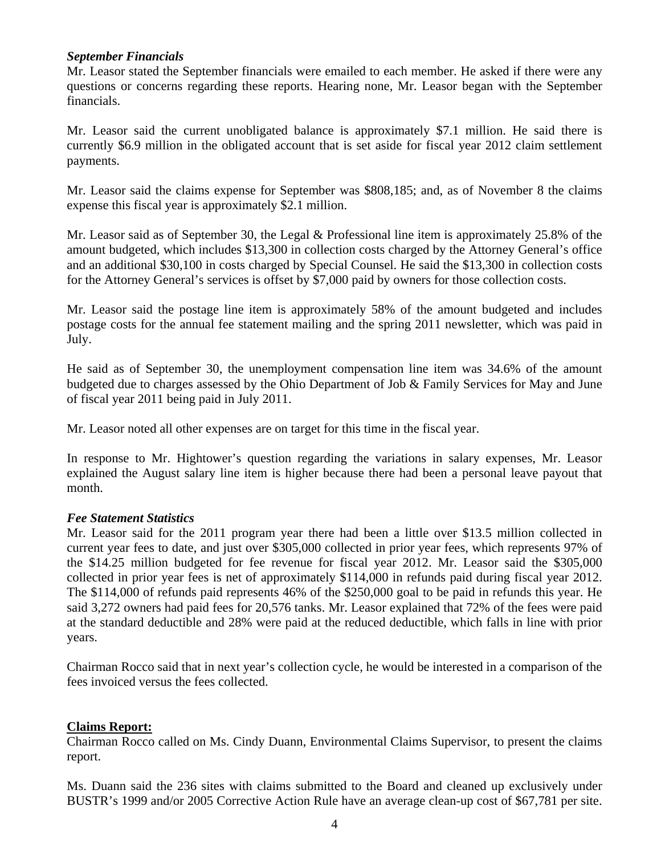# *September Financials*

Mr. Leasor stated the September financials were emailed to each member. He asked if there were any questions or concerns regarding these reports. Hearing none, Mr. Leasor began with the September financials.

Mr. Leasor said the current unobligated balance is approximately \$7.1 million. He said there is currently \$6.9 million in the obligated account that is set aside for fiscal year 2012 claim settlement payments.

Mr. Leasor said the claims expense for September was \$808,185; and, as of November 8 the claims expense this fiscal year is approximately \$2.1 million.

Mr. Leasor said as of September 30, the Legal & Professional line item is approximately 25.8% of the amount budgeted, which includes \$13,300 in collection costs charged by the Attorney General's office and an additional \$30,100 in costs charged by Special Counsel. He said the \$13,300 in collection costs for the Attorney General's services is offset by \$7,000 paid by owners for those collection costs.

Mr. Leasor said the postage line item is approximately 58% of the amount budgeted and includes postage costs for the annual fee statement mailing and the spring 2011 newsletter, which was paid in July.

He said as of September 30, the unemployment compensation line item was 34.6% of the amount budgeted due to charges assessed by the Ohio Department of Job & Family Services for May and June of fiscal year 2011 being paid in July 2011.

Mr. Leasor noted all other expenses are on target for this time in the fiscal year.

In response to Mr. Hightower's question regarding the variations in salary expenses, Mr. Leasor explained the August salary line item is higher because there had been a personal leave payout that month.

# *Fee Statement Statistics*

Mr. Leasor said for the 2011 program year there had been a little over \$13.5 million collected in current year fees to date, and just over \$305,000 collected in prior year fees, which represents 97% of the \$14.25 million budgeted for fee revenue for fiscal year 2012. Mr. Leasor said the \$305,000 collected in prior year fees is net of approximately \$114,000 in refunds paid during fiscal year 2012. The \$114,000 of refunds paid represents 46% of the \$250,000 goal to be paid in refunds this year. He said 3,272 owners had paid fees for 20,576 tanks. Mr. Leasor explained that 72% of the fees were paid at the standard deductible and 28% were paid at the reduced deductible, which falls in line with prior years.

Chairman Rocco said that in next year's collection cycle, he would be interested in a comparison of the fees invoiced versus the fees collected.

# **Claims Report:**

Chairman Rocco called on Ms. Cindy Duann, Environmental Claims Supervisor, to present the claims report.

Ms. Duann said the 236 sites with claims submitted to the Board and cleaned up exclusively under BUSTR's 1999 and/or 2005 Corrective Action Rule have an average clean-up cost of \$67,781 per site.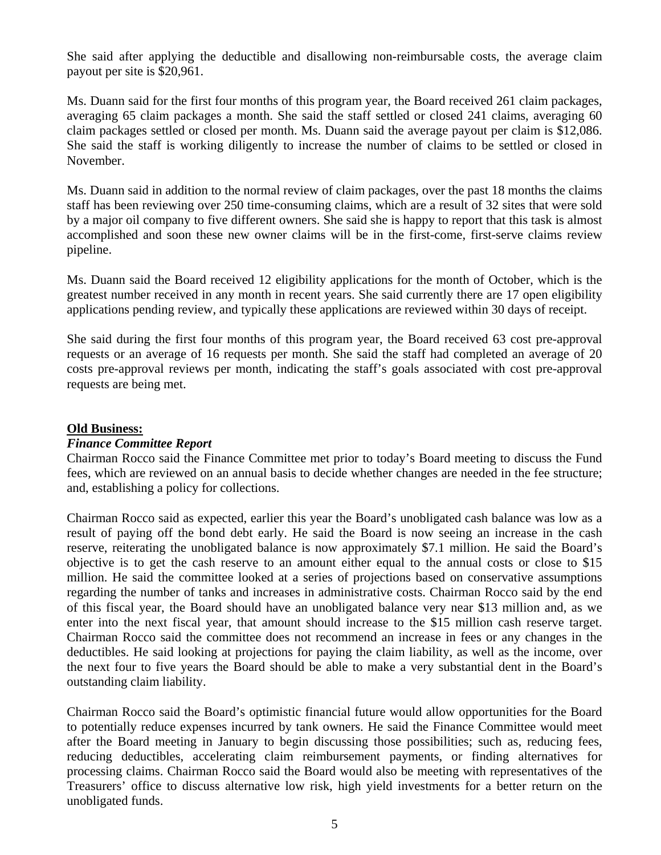She said after applying the deductible and disallowing non-reimbursable costs, the average claim payout per site is \$20,961.

Ms. Duann said for the first four months of this program year, the Board received 261 claim packages, averaging 65 claim packages a month. She said the staff settled or closed 241 claims, averaging 60 claim packages settled or closed per month. Ms. Duann said the average payout per claim is \$12,086. She said the staff is working diligently to increase the number of claims to be settled or closed in November.

Ms. Duann said in addition to the normal review of claim packages, over the past 18 months the claims staff has been reviewing over 250 time-consuming claims, which are a result of 32 sites that were sold by a major oil company to five different owners. She said she is happy to report that this task is almost accomplished and soon these new owner claims will be in the first-come, first-serve claims review pipeline.

Ms. Duann said the Board received 12 eligibility applications for the month of October, which is the greatest number received in any month in recent years. She said currently there are 17 open eligibility applications pending review, and typically these applications are reviewed within 30 days of receipt.

She said during the first four months of this program year, the Board received 63 cost pre-approval requests or an average of 16 requests per month. She said the staff had completed an average of 20 costs pre-approval reviews per month, indicating the staff's goals associated with cost pre-approval requests are being met.

# **Old Business:**

### *Finance Committee Report*

Chairman Rocco said the Finance Committee met prior to today's Board meeting to discuss the Fund fees, which are reviewed on an annual basis to decide whether changes are needed in the fee structure; and, establishing a policy for collections.

Chairman Rocco said as expected, earlier this year the Board's unobligated cash balance was low as a result of paying off the bond debt early. He said the Board is now seeing an increase in the cash reserve, reiterating the unobligated balance is now approximately \$7.1 million. He said the Board's objective is to get the cash reserve to an amount either equal to the annual costs or close to \$15 million. He said the committee looked at a series of projections based on conservative assumptions regarding the number of tanks and increases in administrative costs. Chairman Rocco said by the end of this fiscal year, the Board should have an unobligated balance very near \$13 million and, as we enter into the next fiscal year, that amount should increase to the \$15 million cash reserve target. Chairman Rocco said the committee does not recommend an increase in fees or any changes in the deductibles. He said looking at projections for paying the claim liability, as well as the income, over the next four to five years the Board should be able to make a very substantial dent in the Board's outstanding claim liability.

Chairman Rocco said the Board's optimistic financial future would allow opportunities for the Board to potentially reduce expenses incurred by tank owners. He said the Finance Committee would meet after the Board meeting in January to begin discussing those possibilities; such as, reducing fees, reducing deductibles, accelerating claim reimbursement payments, or finding alternatives for processing claims. Chairman Rocco said the Board would also be meeting with representatives of the Treasurers' office to discuss alternative low risk, high yield investments for a better return on the unobligated funds.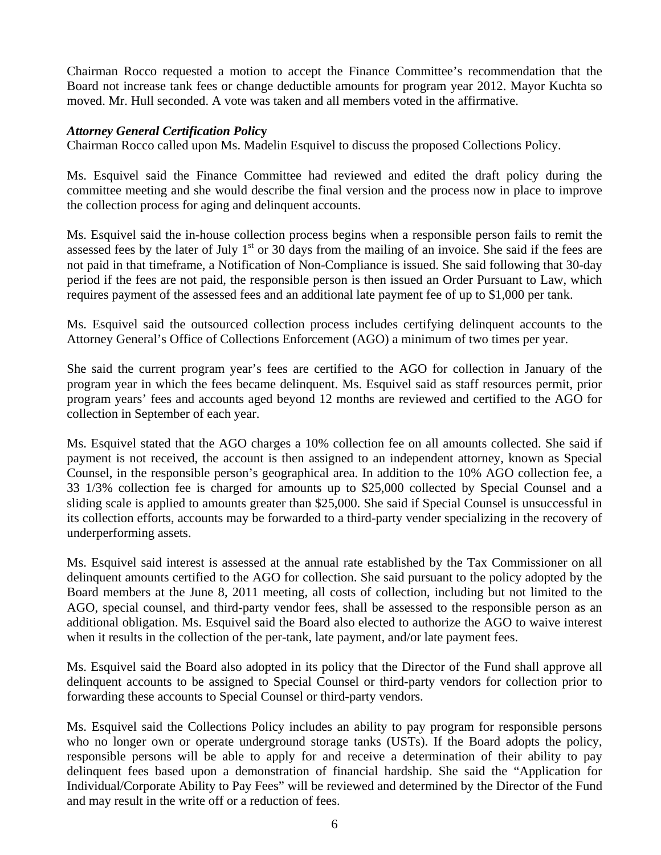Chairman Rocco requested a motion to accept the Finance Committee's recommendation that the Board not increase tank fees or change deductible amounts for program year 2012. Mayor Kuchta so moved. Mr. Hull seconded. A vote was taken and all members voted in the affirmative.

## *Attorney General Certification Polic***y**

Chairman Rocco called upon Ms. Madelin Esquivel to discuss the proposed Collections Policy.

Ms. Esquivel said the Finance Committee had reviewed and edited the draft policy during the committee meeting and she would describe the final version and the process now in place to improve the collection process for aging and delinquent accounts.

Ms. Esquivel said the in-house collection process begins when a responsible person fails to remit the assessed fees by the later of July  $1<sup>st</sup>$  or 30 days from the mailing of an invoice. She said if the fees are not paid in that timeframe, a Notification of Non-Compliance is issued. She said following that 30-day period if the fees are not paid, the responsible person is then issued an Order Pursuant to Law, which requires payment of the assessed fees and an additional late payment fee of up to \$1,000 per tank.

Ms. Esquivel said the outsourced collection process includes certifying delinquent accounts to the Attorney General's Office of Collections Enforcement (AGO) a minimum of two times per year.

She said the current program year's fees are certified to the AGO for collection in January of the program year in which the fees became delinquent. Ms. Esquivel said as staff resources permit, prior program years' fees and accounts aged beyond 12 months are reviewed and certified to the AGO for collection in September of each year.

Ms. Esquivel stated that the AGO charges a 10% collection fee on all amounts collected. She said if payment is not received, the account is then assigned to an independent attorney, known as Special Counsel, in the responsible person's geographical area. In addition to the 10% AGO collection fee, a 33 1/3% collection fee is charged for amounts up to \$25,000 collected by Special Counsel and a sliding scale is applied to amounts greater than \$25,000. She said if Special Counsel is unsuccessful in its collection efforts, accounts may be forwarded to a third-party vender specializing in the recovery of underperforming assets.

Ms. Esquivel said interest is assessed at the annual rate established by the Tax Commissioner on all delinquent amounts certified to the AGO for collection. She said pursuant to the policy adopted by the Board members at the June 8, 2011 meeting, all costs of collection, including but not limited to the AGO, special counsel, and third-party vendor fees, shall be assessed to the responsible person as an additional obligation. Ms. Esquivel said the Board also elected to authorize the AGO to waive interest when it results in the collection of the per-tank, late payment, and/or late payment fees.

Ms. Esquivel said the Board also adopted in its policy that the Director of the Fund shall approve all delinquent accounts to be assigned to Special Counsel or third-party vendors for collection prior to forwarding these accounts to Special Counsel or third-party vendors.

Ms. Esquivel said the Collections Policy includes an ability to pay program for responsible persons who no longer own or operate underground storage tanks (USTs). If the Board adopts the policy, responsible persons will be able to apply for and receive a determination of their ability to pay delinquent fees based upon a demonstration of financial hardship. She said the "Application for Individual/Corporate Ability to Pay Fees" will be reviewed and determined by the Director of the Fund and may result in the write off or a reduction of fees.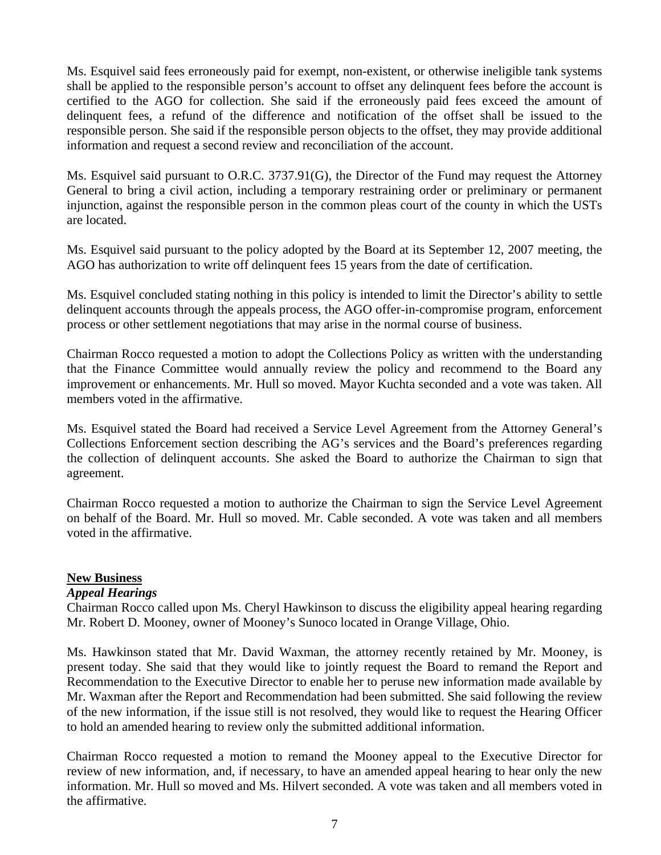Ms. Esquivel said fees erroneously paid for exempt, non-existent, or otherwise ineligible tank systems shall be applied to the responsible person's account to offset any delinquent fees before the account is certified to the AGO for collection. She said if the erroneously paid fees exceed the amount of delinquent fees, a refund of the difference and notification of the offset shall be issued to the responsible person. She said if the responsible person objects to the offset, they may provide additional information and request a second review and reconciliation of the account.

Ms. Esquivel said pursuant to O.R.C. 3737.91(G), the Director of the Fund may request the Attorney General to bring a civil action, including a temporary restraining order or preliminary or permanent injunction, against the responsible person in the common pleas court of the county in which the USTs are located.

Ms. Esquivel said pursuant to the policy adopted by the Board at its September 12, 2007 meeting, the AGO has authorization to write off delinquent fees 15 years from the date of certification.

Ms. Esquivel concluded stating nothing in this policy is intended to limit the Director's ability to settle delinquent accounts through the appeals process, the AGO offer-in-compromise program, enforcement process or other settlement negotiations that may arise in the normal course of business.

Chairman Rocco requested a motion to adopt the Collections Policy as written with the understanding that the Finance Committee would annually review the policy and recommend to the Board any improvement or enhancements. Mr. Hull so moved. Mayor Kuchta seconded and a vote was taken. All members voted in the affirmative.

Ms. Esquivel stated the Board had received a Service Level Agreement from the Attorney General's Collections Enforcement section describing the AG's services and the Board's preferences regarding the collection of delinquent accounts. She asked the Board to authorize the Chairman to sign that agreement.

Chairman Rocco requested a motion to authorize the Chairman to sign the Service Level Agreement on behalf of the Board. Mr. Hull so moved. Mr. Cable seconded. A vote was taken and all members voted in the affirmative.

# **New Business**

# *Appeal Hearings*

Chairman Rocco called upon Ms. Cheryl Hawkinson to discuss the eligibility appeal hearing regarding Mr. Robert D. Mooney, owner of Mooney's Sunoco located in Orange Village, Ohio.

Ms. Hawkinson stated that Mr. David Waxman, the attorney recently retained by Mr. Mooney, is present today. She said that they would like to jointly request the Board to remand the Report and Recommendation to the Executive Director to enable her to peruse new information made available by Mr. Waxman after the Report and Recommendation had been submitted. She said following the review of the new information, if the issue still is not resolved, they would like to request the Hearing Officer to hold an amended hearing to review only the submitted additional information.

Chairman Rocco requested a motion to remand the Mooney appeal to the Executive Director for review of new information, and, if necessary, to have an amended appeal hearing to hear only the new information. Mr. Hull so moved and Ms. Hilvert seconded. A vote was taken and all members voted in the affirmative.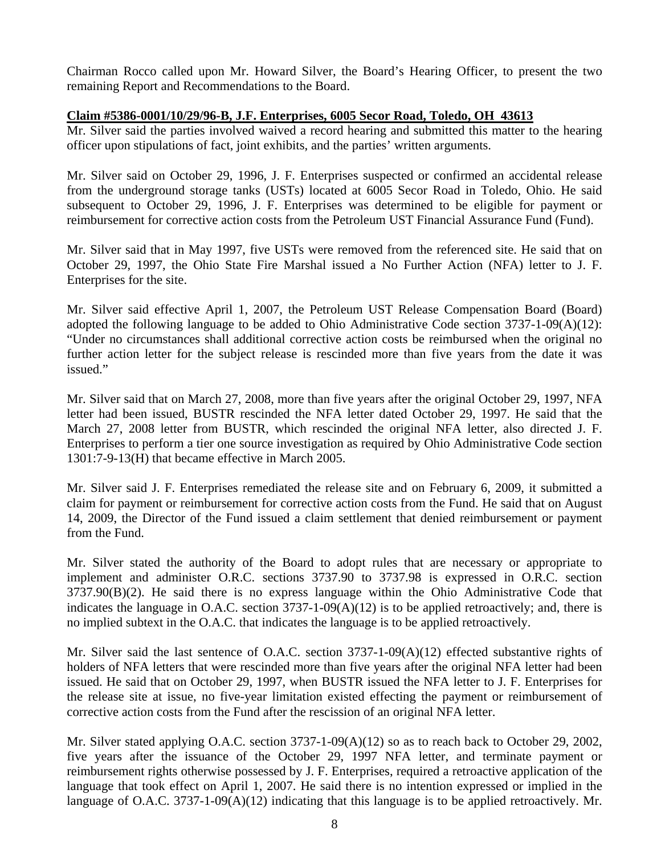Chairman Rocco called upon Mr. Howard Silver, the Board's Hearing Officer, to present the two remaining Report and Recommendations to the Board.

# **Claim #5386-0001/10/29/96-B, J.F. Enterprises, 6005 Secor Road, Toledo, OH 43613**

Mr. Silver said the parties involved waived a record hearing and submitted this matter to the hearing officer upon stipulations of fact, joint exhibits, and the parties' written arguments.

Mr. Silver said on October 29, 1996, J. F. Enterprises suspected or confirmed an accidental release from the underground storage tanks (USTs) located at 6005 Secor Road in Toledo, Ohio. He said subsequent to October 29, 1996, J. F. Enterprises was determined to be eligible for payment or reimbursement for corrective action costs from the Petroleum UST Financial Assurance Fund (Fund).

Mr. Silver said that in May 1997, five USTs were removed from the referenced site. He said that on October 29, 1997, the Ohio State Fire Marshal issued a No Further Action (NFA) letter to J. F. Enterprises for the site.

Mr. Silver said effective April 1, 2007, the Petroleum UST Release Compensation Board (Board) adopted the following language to be added to Ohio Administrative Code section 3737-1-09(A)(12): "Under no circumstances shall additional corrective action costs be reimbursed when the original no further action letter for the subject release is rescinded more than five years from the date it was issued."

Mr. Silver said that on March 27, 2008, more than five years after the original October 29, 1997, NFA letter had been issued, BUSTR rescinded the NFA letter dated October 29, 1997. He said that the March 27, 2008 letter from BUSTR, which rescinded the original NFA letter, also directed J. F. Enterprises to perform a tier one source investigation as required by Ohio Administrative Code section 1301:7-9-13(H) that became effective in March 2005.

Mr. Silver said J. F. Enterprises remediated the release site and on February 6, 2009, it submitted a claim for payment or reimbursement for corrective action costs from the Fund. He said that on August 14, 2009, the Director of the Fund issued a claim settlement that denied reimbursement or payment from the Fund.

Mr. Silver stated the authority of the Board to adopt rules that are necessary or appropriate to implement and administer O.R.C. sections 3737.90 to 3737.98 is expressed in O.R.C. section 3737.90(B)(2). He said there is no express language within the Ohio Administrative Code that indicates the language in O.A.C. section 3737-1-09(A)(12) is to be applied retroactively; and, there is no implied subtext in the O.A.C. that indicates the language is to be applied retroactively.

Mr. Silver said the last sentence of O.A.C. section 3737-1-09(A)(12) effected substantive rights of holders of NFA letters that were rescinded more than five years after the original NFA letter had been issued. He said that on October 29, 1997, when BUSTR issued the NFA letter to J. F. Enterprises for the release site at issue, no five-year limitation existed effecting the payment or reimbursement of corrective action costs from the Fund after the rescission of an original NFA letter.

Mr. Silver stated applying O.A.C. section 3737-1-09(A)(12) so as to reach back to October 29, 2002, five years after the issuance of the October 29, 1997 NFA letter, and terminate payment or reimbursement rights otherwise possessed by J. F. Enterprises, required a retroactive application of the language that took effect on April 1, 2007. He said there is no intention expressed or implied in the language of O.A.C. 3737-1-09(A)(12) indicating that this language is to be applied retroactively. Mr.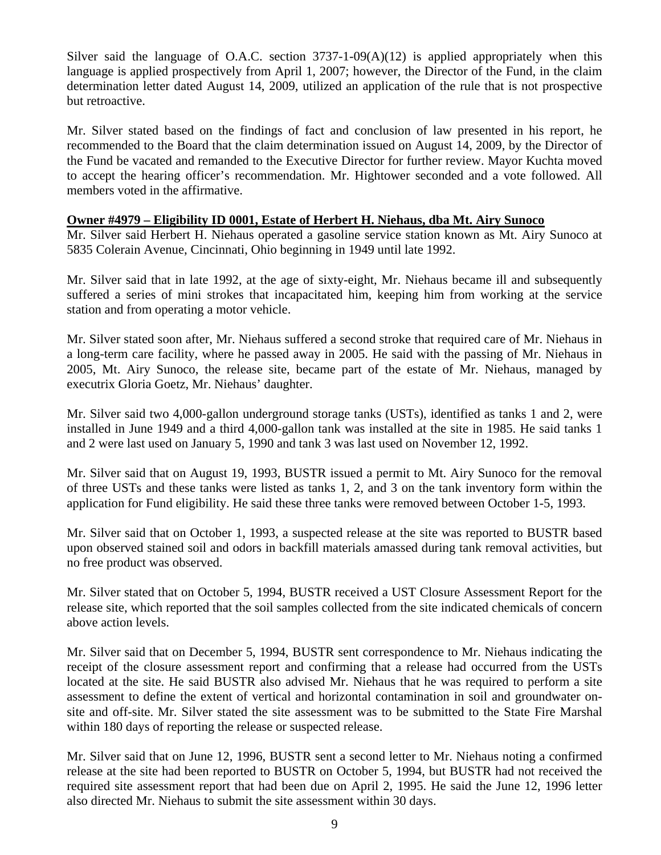Silver said the language of O.A.C. section  $3737-1-09(A)(12)$  is applied appropriately when this language is applied prospectively from April 1, 2007; however, the Director of the Fund, in the claim determination letter dated August 14, 2009, utilized an application of the rule that is not prospective but retroactive.

Mr. Silver stated based on the findings of fact and conclusion of law presented in his report, he recommended to the Board that the claim determination issued on August 14, 2009, by the Director of the Fund be vacated and remanded to the Executive Director for further review. Mayor Kuchta moved to accept the hearing officer's recommendation. Mr. Hightower seconded and a vote followed. All members voted in the affirmative.

# **Owner #4979 – Eligibility ID 0001, Estate of Herbert H. Niehaus, dba Mt. Airy Sunoco**

Mr. Silver said Herbert H. Niehaus operated a gasoline service station known as Mt. Airy Sunoco at 5835 Colerain Avenue, Cincinnati, Ohio beginning in 1949 until late 1992.

Mr. Silver said that in late 1992, at the age of sixty-eight, Mr. Niehaus became ill and subsequently suffered a series of mini strokes that incapacitated him, keeping him from working at the service station and from operating a motor vehicle.

Mr. Silver stated soon after, Mr. Niehaus suffered a second stroke that required care of Mr. Niehaus in a long-term care facility, where he passed away in 2005. He said with the passing of Mr. Niehaus in 2005, Mt. Airy Sunoco, the release site, became part of the estate of Mr. Niehaus, managed by executrix Gloria Goetz, Mr. Niehaus' daughter.

Mr. Silver said two 4,000-gallon underground storage tanks (USTs), identified as tanks 1 and 2, were installed in June 1949 and a third 4,000-gallon tank was installed at the site in 1985. He said tanks 1 and 2 were last used on January 5, 1990 and tank 3 was last used on November 12, 1992.

Mr. Silver said that on August 19, 1993, BUSTR issued a permit to Mt. Airy Sunoco for the removal of three USTs and these tanks were listed as tanks 1, 2, and 3 on the tank inventory form within the application for Fund eligibility. He said these three tanks were removed between October 1-5, 1993.

Mr. Silver said that on October 1, 1993, a suspected release at the site was reported to BUSTR based upon observed stained soil and odors in backfill materials amassed during tank removal activities, but no free product was observed.

Mr. Silver stated that on October 5, 1994, BUSTR received a UST Closure Assessment Report for the release site, which reported that the soil samples collected from the site indicated chemicals of concern above action levels.

Mr. Silver said that on December 5, 1994, BUSTR sent correspondence to Mr. Niehaus indicating the receipt of the closure assessment report and confirming that a release had occurred from the USTs located at the site. He said BUSTR also advised Mr. Niehaus that he was required to perform a site assessment to define the extent of vertical and horizontal contamination in soil and groundwater onsite and off-site. Mr. Silver stated the site assessment was to be submitted to the State Fire Marshal within 180 days of reporting the release or suspected release.

Mr. Silver said that on June 12, 1996, BUSTR sent a second letter to Mr. Niehaus noting a confirmed release at the site had been reported to BUSTR on October 5, 1994, but BUSTR had not received the required site assessment report that had been due on April 2, 1995. He said the June 12, 1996 letter also directed Mr. Niehaus to submit the site assessment within 30 days.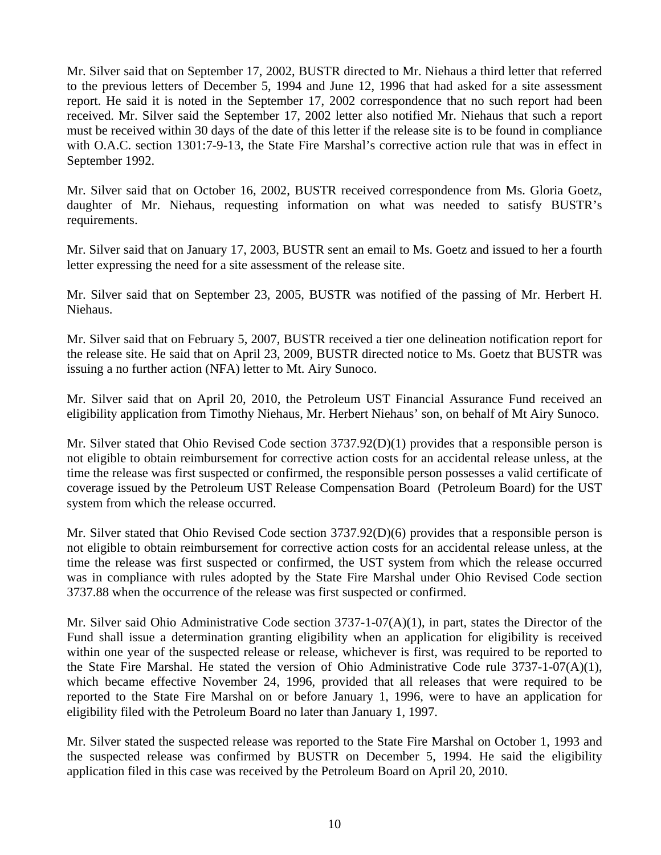Mr. Silver said that on September 17, 2002, BUSTR directed to Mr. Niehaus a third letter that referred to the previous letters of December 5, 1994 and June 12, 1996 that had asked for a site assessment report. He said it is noted in the September 17, 2002 correspondence that no such report had been received. Mr. Silver said the September 17, 2002 letter also notified Mr. Niehaus that such a report must be received within 30 days of the date of this letter if the release site is to be found in compliance with O.A.C. section 1301:7-9-13, the State Fire Marshal's corrective action rule that was in effect in September 1992.

Mr. Silver said that on October 16, 2002, BUSTR received correspondence from Ms. Gloria Goetz, daughter of Mr. Niehaus, requesting information on what was needed to satisfy BUSTR's requirements.

Mr. Silver said that on January 17, 2003, BUSTR sent an email to Ms. Goetz and issued to her a fourth letter expressing the need for a site assessment of the release site.

Mr. Silver said that on September 23, 2005, BUSTR was notified of the passing of Mr. Herbert H. Niehaus.

Mr. Silver said that on February 5, 2007, BUSTR received a tier one delineation notification report for the release site. He said that on April 23, 2009, BUSTR directed notice to Ms. Goetz that BUSTR was issuing a no further action (NFA) letter to Mt. Airy Sunoco.

Mr. Silver said that on April 20, 2010, the Petroleum UST Financial Assurance Fund received an eligibility application from Timothy Niehaus, Mr. Herbert Niehaus' son, on behalf of Mt Airy Sunoco.

Mr. Silver stated that Ohio Revised Code section 3737.92(D)(1) provides that a responsible person is not eligible to obtain reimbursement for corrective action costs for an accidental release unless, at the time the release was first suspected or confirmed, the responsible person possesses a valid certificate of coverage issued by the Petroleum UST Release Compensation Board (Petroleum Board) for the UST system from which the release occurred.

Mr. Silver stated that Ohio Revised Code section 3737.92(D)(6) provides that a responsible person is not eligible to obtain reimbursement for corrective action costs for an accidental release unless, at the time the release was first suspected or confirmed, the UST system from which the release occurred was in compliance with rules adopted by the State Fire Marshal under Ohio Revised Code section 3737.88 when the occurrence of the release was first suspected or confirmed.

Mr. Silver said Ohio Administrative Code section 3737-1-07(A)(1), in part, states the Director of the Fund shall issue a determination granting eligibility when an application for eligibility is received within one year of the suspected release or release, whichever is first, was required to be reported to the State Fire Marshal. He stated the version of Ohio Administrative Code rule 3737-1-07(A)(1), which became effective November 24, 1996, provided that all releases that were required to be reported to the State Fire Marshal on or before January 1, 1996, were to have an application for eligibility filed with the Petroleum Board no later than January 1, 1997.

Mr. Silver stated the suspected release was reported to the State Fire Marshal on October 1, 1993 and the suspected release was confirmed by BUSTR on December 5, 1994. He said the eligibility application filed in this case was received by the Petroleum Board on April 20, 2010.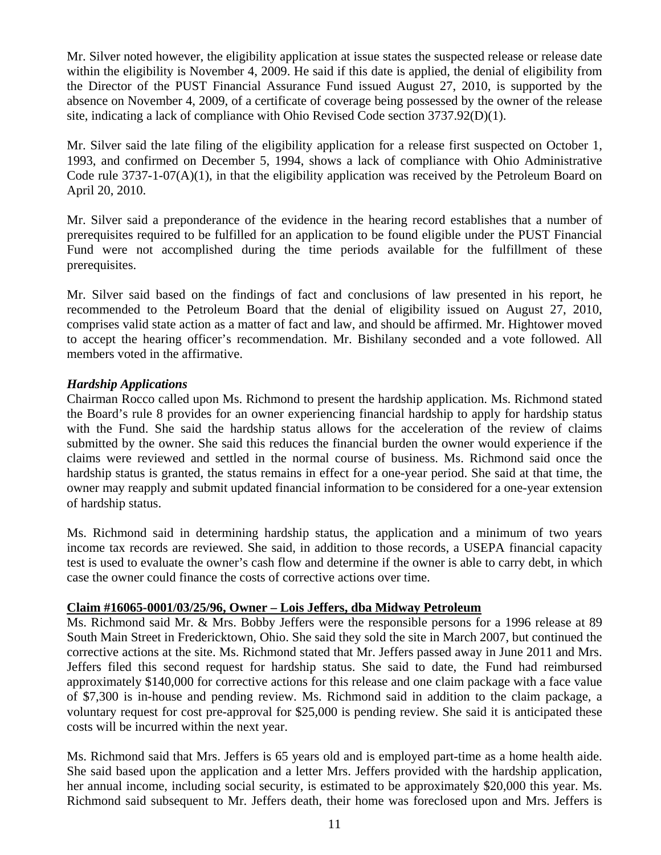Mr. Silver noted however, the eligibility application at issue states the suspected release or release date within the eligibility is November 4, 2009. He said if this date is applied, the denial of eligibility from the Director of the PUST Financial Assurance Fund issued August 27, 2010, is supported by the absence on November 4, 2009, of a certificate of coverage being possessed by the owner of the release site, indicating a lack of compliance with Ohio Revised Code section 3737.92(D)(1).

Mr. Silver said the late filing of the eligibility application for a release first suspected on October 1, 1993, and confirmed on December 5, 1994, shows a lack of compliance with Ohio Administrative Code rule  $3737-1-07(A)(1)$ , in that the eligibility application was received by the Petroleum Board on April 20, 2010.

Mr. Silver said a preponderance of the evidence in the hearing record establishes that a number of prerequisites required to be fulfilled for an application to be found eligible under the PUST Financial Fund were not accomplished during the time periods available for the fulfillment of these prerequisites.

Mr. Silver said based on the findings of fact and conclusions of law presented in his report, he recommended to the Petroleum Board that the denial of eligibility issued on August 27, 2010, comprises valid state action as a matter of fact and law, and should be affirmed. Mr. Hightower moved to accept the hearing officer's recommendation. Mr. Bishilany seconded and a vote followed. All members voted in the affirmative.

# *Hardship Applications*

Chairman Rocco called upon Ms. Richmond to present the hardship application. Ms. Richmond stated the Board's rule 8 provides for an owner experiencing financial hardship to apply for hardship status with the Fund. She said the hardship status allows for the acceleration of the review of claims submitted by the owner. She said this reduces the financial burden the owner would experience if the claims were reviewed and settled in the normal course of business. Ms. Richmond said once the hardship status is granted, the status remains in effect for a one-year period. She said at that time, the owner may reapply and submit updated financial information to be considered for a one-year extension of hardship status.

Ms. Richmond said in determining hardship status, the application and a minimum of two years income tax records are reviewed. She said, in addition to those records, a USEPA financial capacity test is used to evaluate the owner's cash flow and determine if the owner is able to carry debt, in which case the owner could finance the costs of corrective actions over time.

### **Claim #16065-0001/03/25/96, Owner – Lois Jeffers, dba Midway Petroleum**

Ms. Richmond said Mr. & Mrs. Bobby Jeffers were the responsible persons for a 1996 release at 89 South Main Street in Fredericktown, Ohio. She said they sold the site in March 2007, but continued the corrective actions at the site. Ms. Richmond stated that Mr. Jeffers passed away in June 2011 and Mrs. Jeffers filed this second request for hardship status. She said to date, the Fund had reimbursed approximately \$140,000 for corrective actions for this release and one claim package with a face value of \$7,300 is in-house and pending review. Ms. Richmond said in addition to the claim package, a voluntary request for cost pre-approval for \$25,000 is pending review. She said it is anticipated these costs will be incurred within the next year.

Ms. Richmond said that Mrs. Jeffers is 65 years old and is employed part-time as a home health aide. She said based upon the application and a letter Mrs. Jeffers provided with the hardship application, her annual income, including social security, is estimated to be approximately \$20,000 this year. Ms. Richmond said subsequent to Mr. Jeffers death, their home was foreclosed upon and Mrs. Jeffers is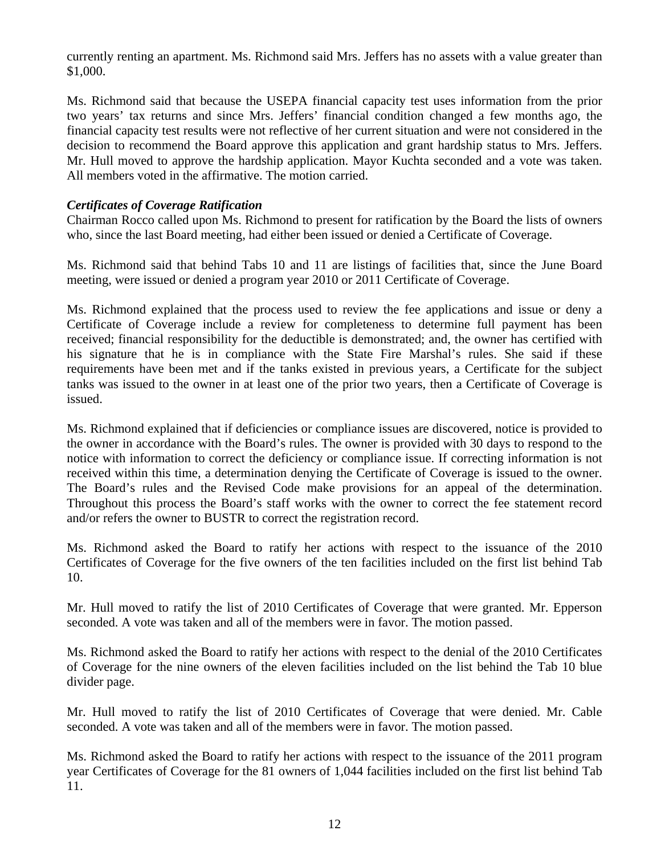currently renting an apartment. Ms. Richmond said Mrs. Jeffers has no assets with a value greater than \$1,000.

Ms. Richmond said that because the USEPA financial capacity test uses information from the prior two years' tax returns and since Mrs. Jeffers' financial condition changed a few months ago, the financial capacity test results were not reflective of her current situation and were not considered in the decision to recommend the Board approve this application and grant hardship status to Mrs. Jeffers. Mr. Hull moved to approve the hardship application. Mayor Kuchta seconded and a vote was taken. All members voted in the affirmative. The motion carried.

# *Certificates of Coverage Ratification*

Chairman Rocco called upon Ms. Richmond to present for ratification by the Board the lists of owners who, since the last Board meeting, had either been issued or denied a Certificate of Coverage.

Ms. Richmond said that behind Tabs 10 and 11 are listings of facilities that, since the June Board meeting, were issued or denied a program year 2010 or 2011 Certificate of Coverage.

Ms. Richmond explained that the process used to review the fee applications and issue or deny a Certificate of Coverage include a review for completeness to determine full payment has been received; financial responsibility for the deductible is demonstrated; and, the owner has certified with his signature that he is in compliance with the State Fire Marshal's rules. She said if these requirements have been met and if the tanks existed in previous years, a Certificate for the subject tanks was issued to the owner in at least one of the prior two years, then a Certificate of Coverage is issued.

Ms. Richmond explained that if deficiencies or compliance issues are discovered, notice is provided to the owner in accordance with the Board's rules. The owner is provided with 30 days to respond to the notice with information to correct the deficiency or compliance issue. If correcting information is not received within this time, a determination denying the Certificate of Coverage is issued to the owner. The Board's rules and the Revised Code make provisions for an appeal of the determination. Throughout this process the Board's staff works with the owner to correct the fee statement record and/or refers the owner to BUSTR to correct the registration record.

Ms. Richmond asked the Board to ratify her actions with respect to the issuance of the 2010 Certificates of Coverage for the five owners of the ten facilities included on the first list behind Tab 10.

Mr. Hull moved to ratify the list of 2010 Certificates of Coverage that were granted. Mr. Epperson seconded. A vote was taken and all of the members were in favor. The motion passed.

Ms. Richmond asked the Board to ratify her actions with respect to the denial of the 2010 Certificates of Coverage for the nine owners of the eleven facilities included on the list behind the Tab 10 blue divider page.

Mr. Hull moved to ratify the list of 2010 Certificates of Coverage that were denied. Mr. Cable seconded. A vote was taken and all of the members were in favor. The motion passed.

Ms. Richmond asked the Board to ratify her actions with respect to the issuance of the 2011 program year Certificates of Coverage for the 81 owners of 1,044 facilities included on the first list behind Tab 11.